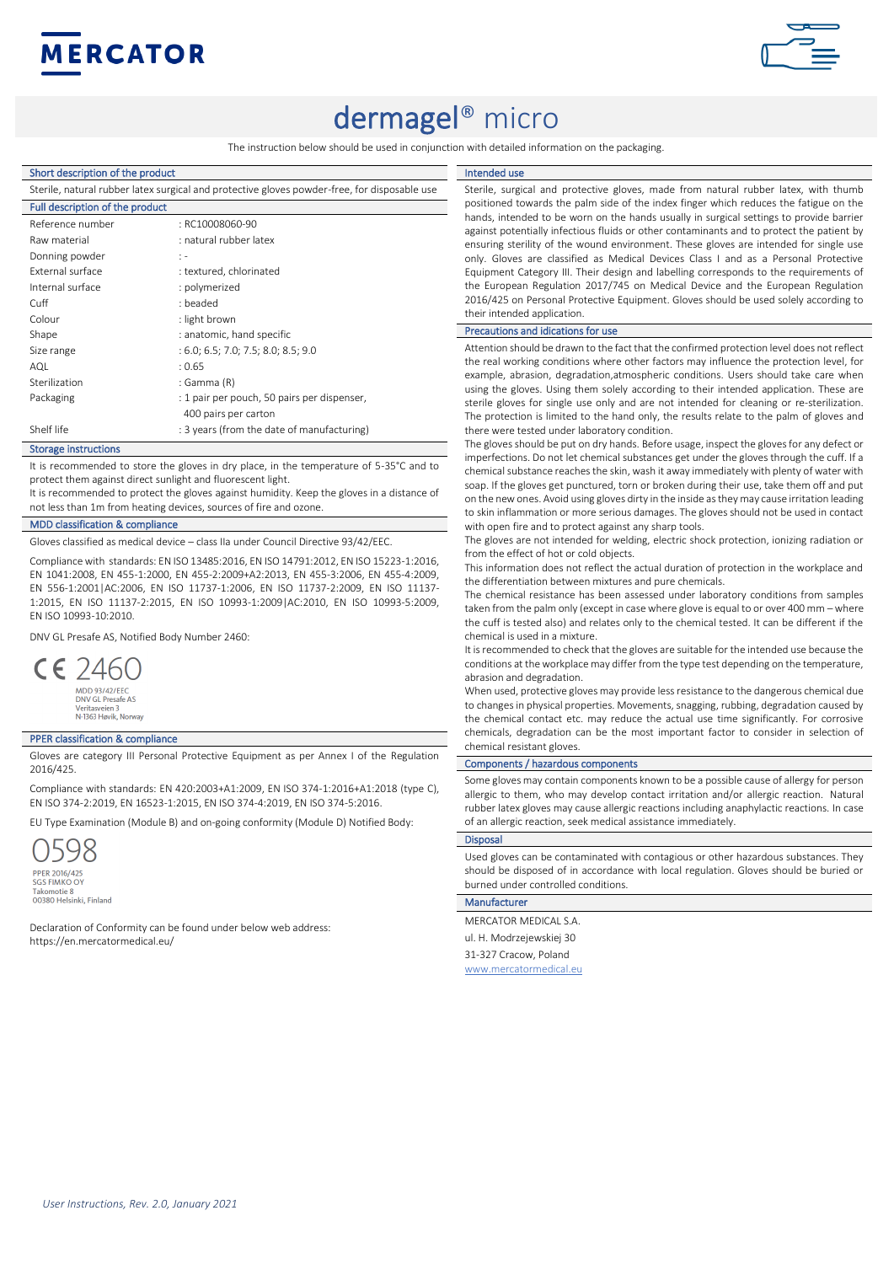



# dermagel<sup>®</sup> micro

The instruction below should be used in conjunction with detailed information on the packaging.

# Short description of the product

| Shape<br>: anatomic, hand specific<br>: 6.0; 6.5; 7.0; 7.5; 8.0; 8.5; 9.0<br>Size range<br>AQL<br>: 0.65 |
|----------------------------------------------------------------------------------------------------------|
|                                                                                                          |
|                                                                                                          |
|                                                                                                          |
| Sterilization<br>: Gamma (R)                                                                             |
|                                                                                                          |
| Packaging<br>: 1 pair per pouch, 50 pairs per dispenser,                                                 |
| 400 pairs per carton                                                                                     |
| Shelf life<br>: 3 years (from the date of manufacturing)                                                 |
|                                                                                                          |
|                                                                                                          |

#### Storage instructions

It is recommended to store the gloves in dry place, in the temperature of 5-35°C and to protect them against direct sunlight and fluorescent light.

It is recommended to protect the gloves against humidity. Keep the gloves in a distance of not less than 1m from heating devices, sources of fire and ozone.

# MDD classification & compliance

Gloves classified as medical device – class IIa under Council Directive 93/42/EEC.

Compliance with standards: EN ISO 13485:2016, EN ISO 14791:2012, EN ISO 15223-1:2016, EN 1041:2008, EN 455-1:2000, EN 455-2:2009+A2:2013, EN 455-3:2006, EN 455-4:2009, EN 556-1:2001|AC:2006, EN ISO 11737-1:2006, EN ISO 11737-2:2009, EN ISO 11137- 1:2015, EN ISO 11137-2:2015, EN ISO 10993-1:2009|AC:2010, EN ISO 10993-5:2009, EN ISO 10993-10:2010.

DNV GL Presafe AS, Notified Body Number 2460:



er – Jamesus As<br>Pritasveien 3<br>1363 Høvik, Norway

## **PPER classification & compliance**

Gloves are category III Personal Protective Equipment as per Annex I of the Regulation 2016/425.

Compliance with standards: EN 420:2003+A1:2009, EN ISO 374-1:2016+A1:2018 (type C), EN ISO 374-2:2019, EN 16523-1:2015, EN ISO 374-4:2019, EN ISO 374-5:2016.

EU Type Examination (Module B) and on-going conformity (Module D) Notified Body:

**PPER 2016/425<br>SGS FIMKO OY** Takomotie 8 Takomotie o<br>00380 Helsinki, Finland

Declaration of Conformity can be found under below web address: https://en.mercatormedical.eu/

#### Intended use

Sterile, surgical and protective gloves, made from natural rubber latex, with thumb positioned towards the palm side of the index finger which reduces the fatigue on the hands, intended to be worn on the hands usually in surgical settings to provide barrier against potentially infectious fluids or other contaminants and to protect the patient by ensuring sterility of the wound environment. These gloves are intended for single use only. Gloves are classified as Medical Devices Class I and as a Personal Protective Equipment Category III. Their design and labelling corresponds to the requirements of the European Regulation 2017/745 on Medical Device and the European Regulation 2016/425 on Personal Protective Equipment. Gloves should be used solely according to their intended annlication.

#### Precautions and idications for use

Attention should be drawn to the fact that the confirmed protection level does not reflect the real working conditions where other factors may influence the protection level, for example, abrasion, degradation,atmospheric conditions. Users should take care when using the gloves. Using them solely according to their intended application. These are sterile gloves for single use only and are not intended for cleaning or re-sterilization. The protection is limited to the hand only, the results relate to the palm of gloves and there were tested under laboratory condition.

The gloves should be put on dry hands. Before usage, inspect the gloves for any defect or imperfections. Do not let chemical substances get under the gloves through the cuff. If a chemical substance reaches the skin, wash it away immediately with plenty of water with soap. If the gloves get punctured, torn or broken during their use, take them off and put on the new ones. Avoid using gloves dirty in the inside as they may cause irritation leading to skin inflammation or more serious damages. The gloves should not be used in contact with open fire and to protect against any sharp tools.

The gloves are not intended for welding, electric shock protection, ionizing radiation or from the effect of hot or cold objects.

This information does not reflect the actual duration of protection in the workplace and the differentiation between mixtures and pure chemicals.

The chemical resistance has been assessed under laboratory conditions from samples taken from the palm only (except in case where glove is equal to or over 400 mm – where the cuff is tested also) and relates only to the chemical tested. It can be different if the chemical is used in a mixture.

It is recommended to check that the gloves are suitable for the intended use because the conditions at the workplace may differ from the type test depending on the temperature, abrasion and degradation.

When used, protective gloves may provide less resistance to the dangerous chemical due to changes in physical properties. Movements, snagging, rubbing, degradation caused by the chemical contact etc. may reduce the actual use time significantly. For corrosive chemicals, degradation can be the most important factor to consider in selection of chemical resistant gloves.

#### Components / hazardous components

Some gloves may contain components known to be a possible cause of allergy for person allergic to them, who may develop contact irritation and/or allergic reaction. Natural rubber latex gloves may cause allergic reactions including anaphylactic reactions. In case of an allergic reaction, seek medical assistance immediately.

### **Disposal**

Used gloves can be contaminated with contagious or other hazardous substances. They should be disposed of in accordance with local regulation. Gloves should be buried or burned under controlled conditions.

## Manufacturer

MERCATOR MEDICAL S.A. ul. H. Modrzejewskiej 30 31-327 Cracow, Poland www.mercatormedical.eu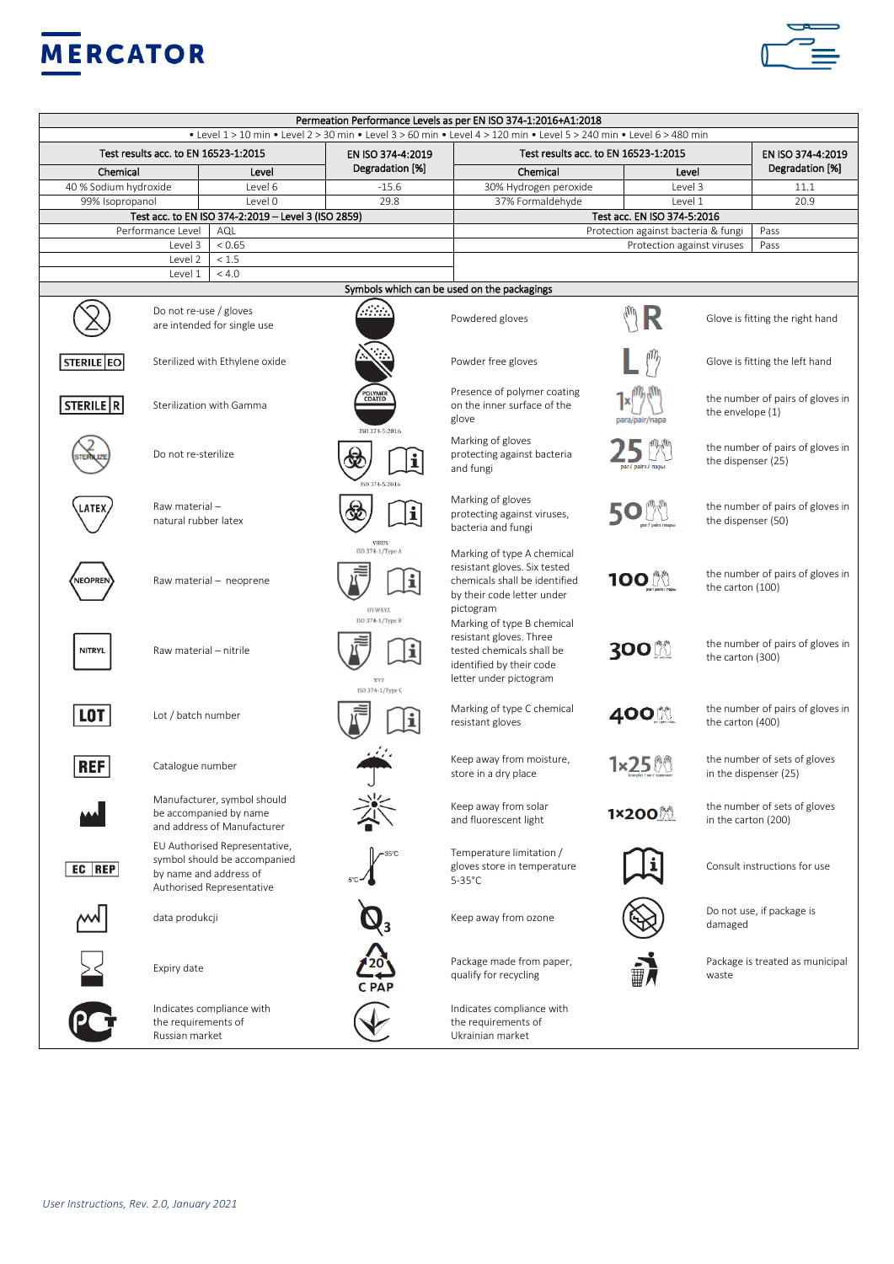



|                                       |                                                                                                                      | • Level 1 > 10 min • Level 2 > 30 min • Level 3 > 60 min • Level 4 > 120 min • Level 5 > 240 min • Level 6 > 480 min | Permeation Performance Levels as per EN ISO 374-1:2016+A1:2018                                                                           |                                             |                                                        |                                                       |
|---------------------------------------|----------------------------------------------------------------------------------------------------------------------|----------------------------------------------------------------------------------------------------------------------|------------------------------------------------------------------------------------------------------------------------------------------|---------------------------------------------|--------------------------------------------------------|-------------------------------------------------------|
| Test results acc. to EN 16523-1:2015  |                                                                                                                      | EN ISO 374-4:2019                                                                                                    | Test results acc. to EN 16523-1:2015                                                                                                     |                                             |                                                        | EN ISO 374-4:2019                                     |
| Chemical<br>Level                     |                                                                                                                      | Degradation [%]                                                                                                      | Chemical                                                                                                                                 |                                             | Degradation [%]<br>Level                               |                                                       |
| 40 % Sodium hydroxide<br>Level 6      |                                                                                                                      | $-15.6$                                                                                                              | 30% Hydrogen peroxide                                                                                                                    |                                             | Level 3<br>11.1                                        |                                                       |
| 99% Isopropanol<br>Level 0            |                                                                                                                      | 29.8                                                                                                                 | 37% Formaldehyde                                                                                                                         | Level 1                                     |                                                        | 20.9                                                  |
|                                       | Test acc. to EN ISO 374-2:2019 - Level 3 (ISO 2859)                                                                  |                                                                                                                      |                                                                                                                                          | Test acc. EN ISO 374-5:2016                 |                                                        |                                                       |
|                                       | Performance Level<br>AQL                                                                                             |                                                                                                                      |                                                                                                                                          | Protection against bacteria & fungi<br>Pass |                                                        |                                                       |
| Level 3<br>< 0.65<br>< 1.5<br>Level 2 |                                                                                                                      |                                                                                                                      |                                                                                                                                          | Protection against viruses                  |                                                        | Pass                                                  |
|                                       | < 4.0<br>Level 1                                                                                                     |                                                                                                                      |                                                                                                                                          |                                             |                                                        |                                                       |
|                                       |                                                                                                                      |                                                                                                                      | Symbols which can be used on the packagings                                                                                              |                                             |                                                        |                                                       |
|                                       | Do not re-use / gloves<br>are intended for single use                                                                | m.                                                                                                                   | Powdered gloves                                                                                                                          |                                             |                                                        | Glove is fitting the right hand                       |
| <b>STERILE EO</b>                     | Sterilized with Ethylene oxide                                                                                       |                                                                                                                      | Powder free gloves                                                                                                                       |                                             |                                                        | Glove is fitting the left hand                        |
| STERILE R                             | Sterilization with Gamma                                                                                             | POLYMER<br>COATED<br>ISO 374-5:2016                                                                                  | Presence of polymer coating<br>on the inner surface of the<br>glove                                                                      |                                             | the number of pairs of gloves in<br>the envelope (1)   |                                                       |
|                                       | Do not re-sterilize                                                                                                  |                                                                                                                      | Marking of gloves<br>protecting against bacteria<br>and fungi                                                                            |                                             | the number of pairs of gloves in<br>the dispenser (25) |                                                       |
| ATE)                                  | Raw material-<br>natural rubber latex                                                                                |                                                                                                                      | Marking of gloves<br>protecting against viruses,<br>bacteria and fungi                                                                   |                                             | the number of pairs of gloves in<br>the dispenser (50) |                                                       |
| <b>NEOPREN</b>                        | Raw material - neoprene                                                                                              | VIRUS<br>ISO 374-1/Type A<br>UVWXYZ                                                                                  | Marking of type A chemical<br>resistant gloves. Six tested<br>chemicals shall be identified<br>by their code letter under<br>pictogram   | 100 L                                       | the carton (100)                                       | the number of pairs of gloves in                      |
| <b>NITRYL</b>                         | Raw material - nitrile                                                                                               | ISO 374-1/Type B<br>XY7.<br>ISO 374-1/Type C                                                                         | Marking of type B chemical<br>resistant gloves. Three<br>tested chemicals shall be<br>identified by their code<br>letter under pictogram | 300                                         | the number of pairs of gloves in<br>the carton (300)   |                                                       |
| <b>LOT</b>                            | Lot / batch number                                                                                                   |                                                                                                                      | Marking of type C chemical<br>resistant gloves                                                                                           | 400 M                                       | the number of pairs of gloves in<br>the carton (400)   |                                                       |
| <b>REF</b>                            | Catalogue number                                                                                                     |                                                                                                                      | Keep away from moisture,<br>store in a dry place                                                                                         | 1×25 W                                      |                                                        | the number of sets of gloves<br>in the dispenser (25) |
|                                       | Manufacturer, symbol should<br>be accompanied by name<br>and address of Manufacturer                                 |                                                                                                                      | Keep away from solar<br>and fluorescent light                                                                                            | 1×200                                       | in the carton (200)                                    | the number of sets of gloves                          |
| EC REP                                | EU Authorised Representative,<br>symbol should be accompanied<br>by name and address of<br>Authorised Representative |                                                                                                                      | Temperature limitation /<br>gloves store in temperature<br>$5-35^{\circ}$ C                                                              |                                             |                                                        | Consult instructions for use                          |
|                                       | data produkcji                                                                                                       |                                                                                                                      | Keep away from ozone                                                                                                                     |                                             | damaged                                                | Do not use, if package is                             |
|                                       | Expiry date                                                                                                          |                                                                                                                      | Package made from paper,<br>qualify for recycling                                                                                        |                                             | waste                                                  | Package is treated as municipal                       |
|                                       | Indicates compliance with<br>the requirements of<br>Russian market                                                   |                                                                                                                      | Indicates compliance with<br>the requirements of<br>Ukrainian market                                                                     |                                             |                                                        |                                                       |